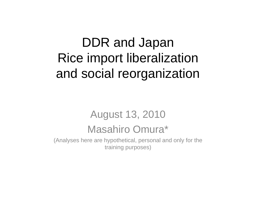## DDR and Japan Rice import liberalization and social reorganization

# August 13, 2010

#### Masahiro Omura\*

(Analyses here are hypothetical, personal and only for the training purposes)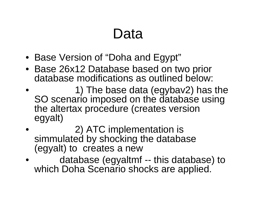## Data

- Base Version of "Doha and Egypt"
- Base 26x12 Database based on two prior database modifications as outlined below:
- • 1) The base data (egybav2) has the SO scenario imposed on the database using the altertax procedure (creates version egyalt)
- • 2) ATC implementation is simmulated by shocking the database (egyalt) to creates a new
- • database (egyaltmf -- this database) to which Doha Scenario shocks are applied.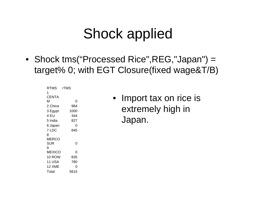## Shock applied

• Shock tms("Processed Rice",REG,"Japan") = target% 0; with EGT Closure(fixed wage&T/B)

| RTMS          | rTMS |
|---------------|------|
| 1             |      |
| CENTA         |      |
| М             | ი    |
| 2 China       | 984  |
| 3 Egypt       | 1000 |
| 4 EU          | 344  |
| 5 India       | 827  |
| 6 Japan       | ი    |
| 7 LDC         | 845  |
| 8             |      |
| MERCO         |      |
| SUR           | ი    |
| 9             |      |
| <b>MEXICO</b> | 0    |
| 10 ROW        | 835  |
| 11 USA        | 780  |
| 12 XME        | ი    |
| Total         | 5615 |

• Import tax on rice is extremely high in Japan.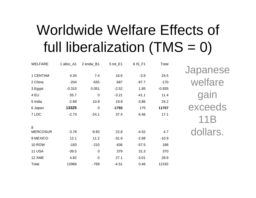## Worldwide Welfare Effects of full liberalization  $(TMS = 0)$

| <b>WELFARE</b>  | 1 alloc_A1 | 2 endw_B1      | 5 tot_E1 | 6 IS_F1 | Total    |
|-----------------|------------|----------------|----------|---------|----------|
| 1 CENTAM        | 4.34       | 7.4            | 16.6     | $-3.9$  | 24.5     |
| 2 China         | $-204$     | $-555$         | 687      | $-97.7$ | $-170$   |
| 3 Egypt         | $-0.315$   | 0.051          | $-2.52$  | 1.85    | $-0.935$ |
| 4 EU            | 55.7       | $\mathbf 0$    | $-3.21$  | $-41.1$ | 11.4     |
| 5 India         | $-2.69$    | 10.9           | 19.9     | $-3.86$ | 24.2     |
| 6 Japan         | 13325      | $\mathbf 0$    | $-1793$  | 175     | 11707    |
| 7 LDC           | $-2.73$    | $-24.1$        | 37.4     | 6.46    | 17.1     |
| 8               |            |                |          |         |          |
| <b>MERCOSUR</b> | $-3.78$    | $-9.83$        | 22.8     | $-4.52$ | 4.7      |
| 9 MEXICO        | 12.1       | 11.2           | $-31.6$  | $-2.68$ | $-10.9$  |
| <b>10 ROW</b>   | $-183$     | $-210$         | 636      | $-57.5$ | 186      |
| <b>11 USA</b>   | $-39.5$    | $\mathbf 0$    | 379      | 31.3    | 370      |
| 12 XME          | 4.82       | $\overline{0}$ | 27.1     | $-3.01$ | 28.9     |
| Total           | 12966      | $-769$         | $-4.51$  | 0.46    | 12192    |

Japanese welfare gain exceeds 11B dollars.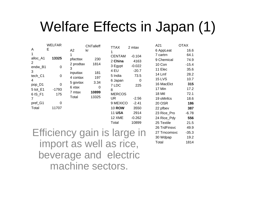## Welfare Effects in Japan (1)

|                | <b>WELFAR</b> |           | <b>CNTalleff</b> | TTAX                     | 2 mtax        | A21           | <b>OTAX</b> |
|----------------|---------------|-----------|------------------|--------------------------|---------------|---------------|-------------|
| A              | Е             | A2<br>kr  |                  | 1                        |               | 6 AppLeat     | 16.6        |
| 1              |               | 1         |                  | <b>CENTAM</b>            | $-0.104$      | 7 cartrn      | 64.1        |
| alloc_A1       | 13325         | pfacttax  | 230              | 2 China                  | 4163          | 9 Chemical    | 74.9        |
| $\overline{2}$ | 0             | 2 prodtax | 1814             | 3 Egypt                  | $-0.022$      | 10 Con        | $-15.4$     |
| endw_B1<br>3   |               | 3         |                  | 4 EU                     | $-20.7$       | 11 Elec       | 35.6        |
| tech_C1        | $\pmb{0}$     | inputtax  | 181              | 5 India                  | 73.5          | 14 Lmf        | 28.2        |
| 4              |               | 4 contax  | 197              | 6 Japan                  | $\mathbf 0$   | <b>15 LVS</b> | 10.7        |
| pop_D1         | 0             | 5 govtax  | 3.34             | 7 LDC                    | 225           | 16 MacElct    | 315         |
| 5 tot_E1       | $-1793$       | 6 xtax    | 0                | 8                        |               | 17 Min        | 17.2        |
| 6 IS_F1        | 175           | 7 mtax    | 10899            | <b>MERCOS</b>            |               | 18 Mtl        | 72.1        |
| $\overline{7}$ |               | Total     | 13325            | <b>UR</b>                | $-2.56$       | 19 oMnfcs     | 18.6        |
| pref_G1        | 0             |           |                  | 9 MEXICO                 | $-2.41$       | 20 OSR        | 186         |
| Total          | 11707         |           |                  | <b>10 ROW</b>            | 3550          | 22 pfbev      | 387         |
|                |               |           |                  | <b>11 USA</b>            | 2914          | 23 Rice_Pro   | $-6.78$     |
|                |               |           |                  | 12 XME                   | $-0.262$      | 24 Rice_Pdy   | 556         |
|                |               |           |                  | Total                    | 10899         | 25 Textile    | 21.5        |
|                |               |           |                  |                          |               | 26 TrdFinsvc  | 49.9        |
|                |               |           |                  | Efficiency gain is large | $\mathsf{In}$ | 27 Trncomsvc  | $-35.3$     |
|                |               |           |                  |                          |               | 30 Wdpap      | 19.2        |
|                |               |           |                  | import as well as rice,  |               | Total         | 1814        |
|                |               |           |                  |                          |               |               |             |
|                |               |           |                  |                          |               |               |             |

beverage and electric machine sectors.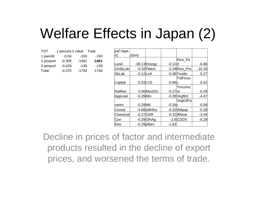## Welfare Effects in Japan (2)

| <b>TOT</b> | 1 percent 2 value | Total   |         |
|------------|-------------------|---------|---------|
| 1 pworld   | $-0.04$           | $-193$  | $-193$  |
| 2 pexport  | $-0.305$          | $-1461$ | $-1461$ |
| 3 pimport  | $-0.029$          | $-139$  | $-139$  |
| Total      | $-0.375$          | $-1793$ | $-1794$ |

| ps[*Japa       |             |                 |                       |               |          |
|----------------|-------------|-----------------|-----------------------|---------------|----------|
| n              | Sim)        |                 |                       |               |          |
|                |             |                 |                       | Rice_Pa       |          |
| Land           |             | $-38.13$ Energy | $-0.12$ d             |               | $-6.86$  |
| <b>UnSkLab</b> |             | $-0.32$ Fibers  |                       | -2.28Rice_Pro | $-10.18$ |
| <b>SkLab</b>   | $-0.12$ Lmf |                 |                       | -0.28 Textile | $-0.27$  |
|                |             |                 |                       | TrdFinsv      |          |
| Capital        | $-0.33$ LVS |                 | $-0.95c$              |               | $-0.41$  |
|                |             |                 |                       | Trncoms       |          |
| <b>NatRes</b>  |             | 0.56 MacElct    | $-0.27$ <sub>VC</sub> |               | $-0.29$  |
| AppLeat        | $-0.29$ Min |                 |                       | -0.28 Vegftnt | -4.47    |
|                |             |                 |                       | VegOilFa      |          |
| cartrn         | $-0.28$ Mtl |                 | $-0.26$               |               | $-0.58$  |
| Cereal         |             | -4.88 oMnfcs    |                       | $-0.32$ Wdpap | $-0.28$  |
| Chemical       | $-0.27$ OSR |                 |                       | $-0.31$ Wheat | $-3.44$  |
| Con            |             | $-0.29$ OthAg   |                       | $-2.6$ CGDS   | $-0.29$  |
| Elec           |             | $-0.29$ pfbev   | $-1.63$               |               |          |

Decline in prices of factor and intermediate products resulted in the decline of export prices, and worsened the terms of trade.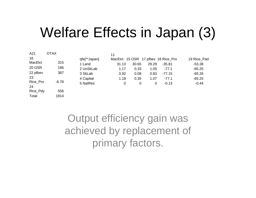## Welfare Effects in Japan (3)

| A21            | OTAX    |              | 11                                  |       |       |          |             |
|----------------|---------|--------------|-------------------------------------|-------|-------|----------|-------------|
| 16             |         | qfe[**Japan] | MacElct 15 OSR 17 pfbey 18 Rice Pro |       |       |          | 19 Rice_Pad |
| MacElct        | 315     | 1 Land       | 31.13                               | 30.65 | 29.29 | -35.81   | $-53.38$    |
| 20 OSR         | 186     | 2 UnSkLab    | 1.17                                | 0.33  | 1.05  | $-77.1$  | $-65.25$    |
| 22 pfbev       | 387     | 3 SkLab      | 0.92                                | 0.08  | 0.83  | $-77.15$ | $-65.26$    |
| 23             |         | 4 Capital    | 1.18                                | 0.35  | 1.07  | $-77.1$  | $-65.25$    |
| Rice Pro<br>24 | $-6.78$ | 5 NatRes     | $\Omega$                            | 0     | 0     | $-0.13$  | $-0.44$     |
| Rice_Pdy       | 556     |              |                                     |       |       |          |             |
| Total          | 1814    |              |                                     |       |       |          |             |

Output efficiency gain was achieved by replacement of primary factors.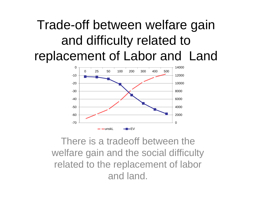#### Trade-off between welfare gain and difficulty related to replacement of Labor and Land



There is a tradeoff between the welfare gain and the social difficulty related to the replacement of labor and land.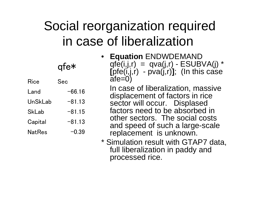### Social reorganization required in case of liberalization

|               | afe*       | • Equation ENDWDEMAND<br>qfe(i,j,r) = $qva(j,r)$ - ESUBVA(j) *<br>[pfe(i,j,r) - $pva(j,r)$ ]; (In this case |
|---------------|------------|-------------------------------------------------------------------------------------------------------------|
| <b>Rice</b>   | <b>Sec</b> | $ate=0$                                                                                                     |
| Land          | $-66.16$   | In case of liberalization, massive                                                                          |
| UnSkLab       | $-81.13$   | displacement of factors in rice<br>sector will occur. Displased                                             |
| <b>SkLab</b>  | $-81.15$   | factors need to be absorbed in                                                                              |
| Capital       | $-81.13$   | other sectors. The social costs<br>and speed of such a large-scale                                          |
| <b>NatRes</b> | $-0.39$    | replacement is unknown.                                                                                     |
|               |            |                                                                                                             |

\* Simulation result with GTAP7 data, full liberalization in paddy and processed rice.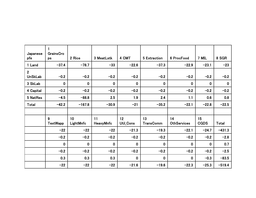| Japanese       | $\mathbf{1}$<br><b>GrainsCro</b> |                 |             |             |                  |                    |             |             |
|----------------|----------------------------------|-----------------|-------------|-------------|------------------|--------------------|-------------|-------------|
| pfe            | ps                               | 2 Rice          | 3 MeatLstk  | 4 CMT       | 5 Extraction     | 6 ProcFood         | 7 MIL       | 8 SGR       |
| 1 Land         | $-37.4$                          | $-78.7$         | $-33$       | $-22.6$     | $-37.3$          | $-22.9$            | $-23.1$     | $-23$       |
| 2 <sup>1</sup> |                                  |                 |             |             |                  |                    |             |             |
| <b>UnSkLab</b> | $-0.2$                           | $-0.2$          | $-0.2$      | $-0.2$      | $-0.2$           | $-0.2$             | $-0.2$      | $-0.2$      |
| 3 SkLab        | $\mathbf 0$                      | $\mathbf 0$     | $\mathbf 0$ | $\mathbf 0$ | $\mathbf 0$      | $\boldsymbol{0}$   | $\mathbf 0$ | $\mathbf 0$ |
| 4 Capital      | $-0.2$                           | $-0.2$          | $-0.2$      | $-0.2$      | $-0.2$           | $-0.2$             | $-0.2$      | $-0.2$      |
| 5 NatRes       | $-4.5$                           | $-88.8$         | 2.5         | 1.9         | 2.4              | 1.1                | 0.6         | 0.8         |
| Total          | $-42.2$                          | $-167.8$        | $-30.9$     | $-21$       | $-35.2$          | $-22.1$            | $-22.8$     | $-22.5$     |
|                |                                  |                 |             |             |                  |                    |             |             |
|                | 9                                | 10 <sup>°</sup> | 11          | 12          | 13               | 14                 | 15          |             |
|                | TextWapp                         | LightMnfc       | HeavyMnfc   | Util_Cons   | <b>TransComm</b> | <b>OthServices</b> | <b>CGDS</b> | Total       |
|                | $-22$                            | $-22$           | $-22$       | $-21.3$     | $-19.3$          | $-22.1$            | $-24.7$     | $-431.3$    |
|                | $-0.2$                           | $-0.2$          | $-0.2$      | $-0.2$      | $-0.2$           | $-0.2$             | $-0.2$      | $-2.8$      |
|                | $\mathbf 0$                      | $\mathbf 0$     | $\mathbf 0$ | $\mathbf 0$ | $\mathbf 0$      | $\mathbf 0$        | $\mathbf 0$ | 0.7         |
|                | $-0.2$                           | $-0.2$          | $-0.2$      | $-0.2$      | $-0.2$           | $-0.2$             | $-0.2$      | $-2.5$      |
|                | 0.3                              | 0.3             | 0.3         | $\mathbf 0$ | $\mathbf 0$      | $\bf{0}$           | $-0.3$      | $-83.5$     |
|                | $-22$                            | $-22$           | $-22$       | $-21.6$     | $-19.6$          | $-22.3$            | $-25.3$     | $-519.4$    |